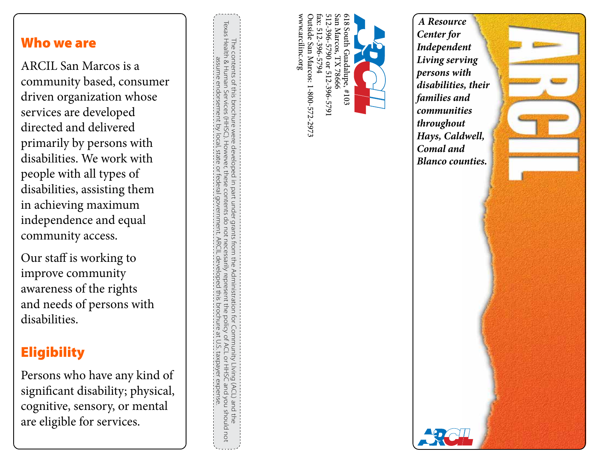#### Who we are

ARCIL San Marcos is a community based, consumer driven organization whose services are developed directed and delivered primarily by persons with disabilities. We work with people with all types of disabilities, assisting them in achieving maximum independence and equal community access.

Our staff is working to improve community awareness of the rights and needs of persons with disabilities.

# **Eligibility**

Persons who have any kind of significant disability; physical, cognitive, sensory, or mental are eligible for services.

Texas Health & Human Services (HHSC). However, these contents do not necessarily represent the policy of ACL or HHSC and you should not The contents of this brochure were developed in part under grants from the Administration for Community Living (ACL) and the<br>Texas Health & Human Services (HHSC). However, these contents do not necessarily represent the po The contents of this brochure were developed in part under grants from the Administration for Community LIving (ACL) and the assume endorsement by local, state or federal government. ARCIL developed this brochure at U.S. taxpayer expense. **ARCIL devel** loped this brochure at U Ċ. taxpayer expense

www.arcilinc.org fax: 512-396-5794 512-396-5790 or 512-396-5791 San Marcos, TX 78666 819 www.arcilinc.org Outside San Marcos: 1-800-572-2973 Outside San Marcos: 1-800-572-2973 fax: 512-396-5794 512-396-5790 or 512-396-5791 San Marcos, TX 78666 618 South Guadalupe, #103 South Guadalupe, #103

*A Resource Center for Independent Living serving persons with disabilities, their families and communities throughout Hays, Caldwell, Comal and Blanco counties.*